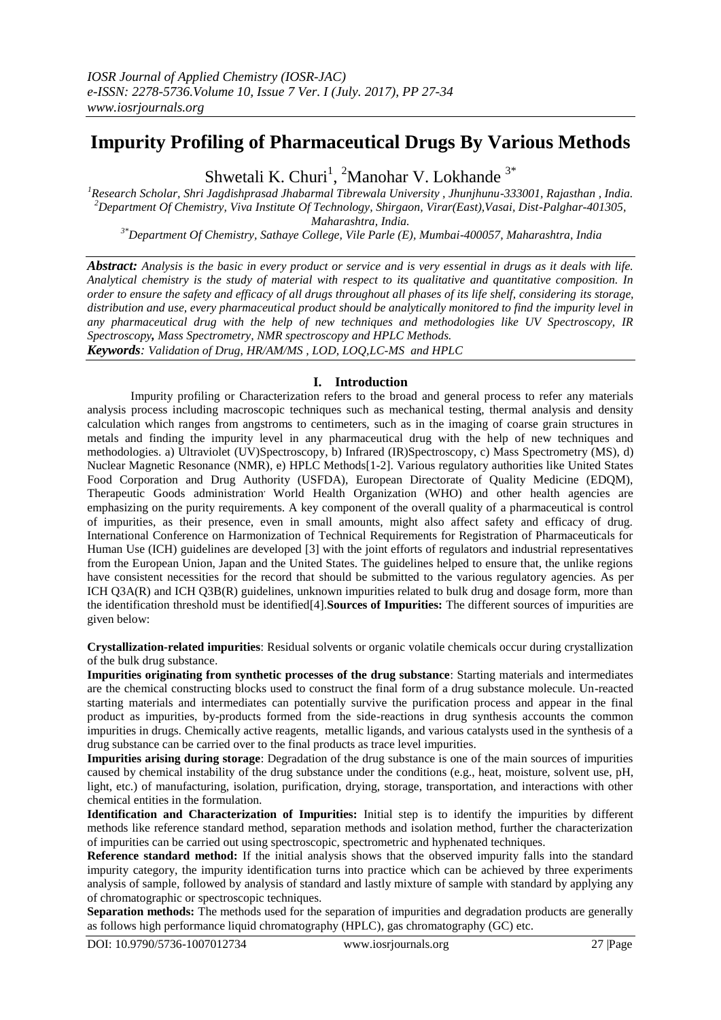# **Impurity Profiling of Pharmaceutical Drugs By Various Methods**

Shwetali K. Churi<sup>1</sup>, <sup>2</sup>Manohar V. Lokhande<sup>3\*</sup>

*<sup>1</sup>Research Scholar, Shri Jagdishprasad Jhabarmal Tibrewala University , Jhunjhunu-333001, Rajasthan , India. <sup>2</sup>Department Of Chemistry, Viva Institute Of Technology, Shirgaon, Virar(East),Vasai, Dist-Palghar-401305, Maharashtra, India.*

*3\*Department Of Chemistry, Sathaye College, Vile Parle (E), Mumbai-400057, Maharashtra, India*

*Abstract: Analysis is the basic in every product or service and is very essential in drugs as it deals with life. Analytical chemistry is the study of material with respect to its qualitative and quantitative composition. In order to ensure the safety and efficacy of all drugs throughout all phases of its life shelf, considering its storage, distribution and use, every pharmaceutical product should be analytically monitored to find the impurity level in any pharmaceutical drug with the help of new techniques and methodologies like UV Spectroscopy, IR Spectroscopy, Mass Spectrometry, NMR spectroscopy and HPLC Methods. Keywords: Validation of Drug, HR/AM/MS , LOD, LOQ,LC-MS and HPLC*

## **I. Introduction**

Impurity profiling or Characterization refers to the broad and general process to refer any materials analysis process including macroscopic techniques such as mechanical testing, thermal analysis and density calculation which ranges from angstroms to centimeters, such as in the imaging of coarse grain structures in metals and finding the impurity level in any pharmaceutical drug with the help of new techniques and methodologies. a) Ultraviolet (UV)Spectroscopy, b) Infrared (IR)Spectroscopy, c) Mass Spectrometry (MS), d) Nuclear Magnetic Resonance (NMR), e) HPLC Methods[1-2]. Various regulatory authorities like United States Food Corporation and Drug Authority (USFDA), European Directorate of Quality Medicine (EDQM), Therapeutic Goods administration, World Health Organization (WHO) and other health agencies are emphasizing on the purity requirements. A key component of the overall quality of a pharmaceutical is control of impurities, as their presence, even in small amounts, might also affect safety and efficacy of drug. International Conference on Harmonization of Technical Requirements for Registration of Pharmaceuticals for Human Use (ICH) guidelines are developed [3] with the joint efforts of regulators and industrial representatives from the European Union, Japan and the United States. The guidelines helped to ensure that, the unlike regions have consistent necessities for the record that should be submitted to the various regulatory agencies. As per ICH Q3A(R) and ICH Q3B(R) guidelines, unknown impurities related to bulk drug and dosage form, more than the identification threshold must be identified[4].**Sources of Impurities:** The different sources of impurities are given below:

**Crystallization-related impurities**: Residual solvents or organic volatile chemicals occur during crystallization of the bulk drug substance.

**Impurities originating from synthetic processes of the drug substance**: Starting materials and intermediates are the chemical constructing blocks used to construct the final form of a drug substance molecule. Un-reacted starting materials and intermediates can potentially survive the purification process and appear in the final product as impurities, by-products formed from the side-reactions in drug synthesis accounts the common impurities in drugs. Chemically active reagents, metallic ligands, and various catalysts used in the synthesis of a drug substance can be carried over to the final products as trace level impurities.

**Impurities arising during storage**: Degradation of the drug substance is one of the main sources of impurities caused by chemical instability of the drug substance under the conditions (e.g., heat, moisture, solvent use, pH, light, etc.) of manufacturing, isolation, purification, drying, storage, transportation, and interactions with other chemical entities in the formulation.

**Identification and Characterization of Impurities:** Initial step is to identify the impurities by different methods like reference standard method, separation methods and isolation method, further the characterization of impurities can be carried out using spectroscopic, spectrometric and hyphenated techniques.

**Reference standard method:** If the initial analysis shows that the observed impurity falls into the standard impurity category, the impurity identification turns into practice which can be achieved by three experiments analysis of sample, followed by analysis of standard and lastly mixture of sample with standard by applying any of chromatographic or spectroscopic techniques.

**Separation methods:** The methods used for the separation of impurities and degradation products are generally as follows high performance liquid chromatography (HPLC), gas chromatography (GC) etc.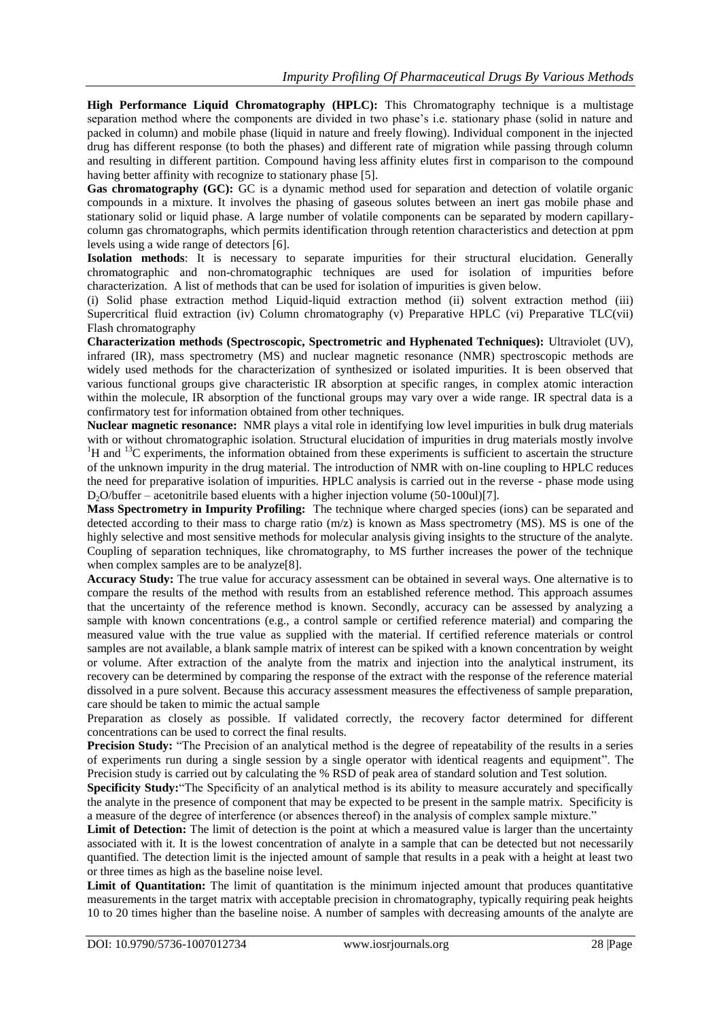**High Performance Liquid Chromatography (HPLC):** This Chromatography technique is a multistage separation method where the components are divided in two phase's i.e. stationary phase (solid in nature and packed in column) and mobile phase (liquid in nature and freely flowing). Individual component in the injected drug has different response (to both the phases) and different rate of migration while passing through column and resulting in different partition. Compound having less affinity elutes first in comparison to the compound having better affinity with recognize to stationary phase [5].

Gas chromatography (GC): GC is a dynamic method used for separation and detection of volatile organic compounds in a mixture. It involves the phasing of gaseous solutes between an inert gas mobile phase and stationary solid or liquid phase. A large number of volatile components can be separated by modern capillarycolumn gas chromatographs, which permits identification through retention characteristics and detection at ppm levels using a wide range of detectors [6].

**Isolation methods**: It is necessary to separate impurities for their structural elucidation. Generally chromatographic and non-chromatographic techniques are used for isolation of impurities before characterization. A list of methods that can be used for isolation of impurities is given below.

(i) Solid phase extraction method Liquid-liquid extraction method (ii) solvent extraction method (iii) Supercritical fluid extraction (iv) Column chromatography (v) Preparative HPLC (vi) Preparative TLC(vii) Flash chromatography

**Characterization methods (Spectroscopic, Spectrometric and Hyphenated Techniques):** Ultraviolet (UV), infrared (IR), mass spectrometry (MS) and nuclear magnetic resonance (NMR) spectroscopic methods are widely used methods for the characterization of synthesized or isolated impurities. It is been observed that various functional groups give characteristic IR absorption at specific ranges, in complex atomic interaction within the molecule, IR absorption of the functional groups may vary over a wide range. IR spectral data is a confirmatory test for information obtained from other techniques.

**Nuclear magnetic resonance:** NMR plays a vital role in identifying low level impurities in bulk drug materials with or without chromatographic isolation. Structural elucidation of impurities in drug materials mostly involve  $1\text{H}$  and  $13\text{C}$  experiments, the information obtained from these experiments is sufficient to ascertain the structure of the unknown impurity in the drug material. The introduction of NMR with on-line coupling to HPLC reduces the need for preparative isolation of impurities. HPLC analysis is carried out in the reverse - phase mode using D2O/buffer – acetonitrile based eluents with a higher injection volume (50-100ul)[7].

**Mass Spectrometry in Impurity Profiling:** The technique where charged species (ions) can be separated and detected according to their mass to charge ratio  $(m/z)$  is known as Mass spectrometry (MS). MS is one of the highly selective and most sensitive methods for molecular analysis giving insights to the structure of the analyte. Coupling of separation techniques, like chromatography, to MS further increases the power of the technique when complex samples are to be analyze[8].

**Accuracy Study:** The true value for accuracy assessment can be obtained in several ways. One alternative is to compare the results of the method with results from an established reference method. This approach assumes that the uncertainty of the reference method is known. Secondly, accuracy can be assessed by analyzing a sample with known concentrations (e.g., a control sample or certified reference material) and comparing the measured value with the true value as supplied with the material. If certified reference materials or control samples are not available, a blank sample matrix of interest can be spiked with a known concentration by weight or volume. After extraction of the analyte from the matrix and injection into the analytical instrument, its recovery can be determined by comparing the response of the extract with the response of the reference material dissolved in a pure solvent. Because this accuracy assessment measures the effectiveness of sample preparation, care should be taken to mimic the actual sample

Preparation as closely as possible. If validated correctly, the recovery factor determined for different concentrations can be used to correct the final results.

**Precision Study:** "The Precision of an analytical method is the degree of repeatability of the results in a series of experiments run during a single session by a single operator with identical reagents and equipment". The Precision study is carried out by calculating the % RSD of peak area of standard solution and Test solution.

**Specificity Study:**"The Specificity of an analytical method is its ability to measure accurately and specifically the analyte in the presence of component that may be expected to be present in the sample matrix. Specificity is a measure of the degree of interference (or absences thereof) in the analysis of complex sample mixture."

**Limit of Detection:** The limit of detection is the point at which a measured value is larger than the uncertainty associated with it. It is the lowest concentration of analyte in a sample that can be detected but not necessarily quantified. The detection limit is the injected amount of sample that results in a peak with a height at least two or three times as high as the baseline noise level.

**Limit of Quantitation:** The limit of quantitation is the minimum injected amount that produces quantitative measurements in the target matrix with acceptable precision in chromatography, typically requiring peak heights 10 to 20 times higher than the baseline noise. A number of samples with decreasing amounts of the analyte are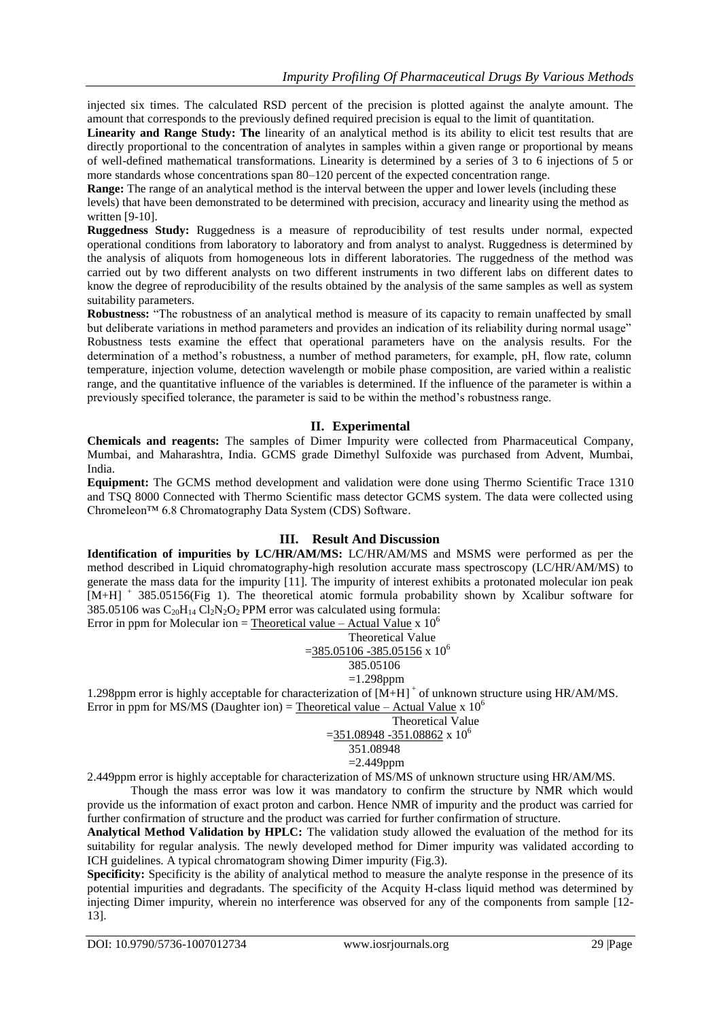injected six times. The calculated RSD percent of the precision is plotted against the analyte amount. The amount that corresponds to the previously defined required precision is equal to the limit of quantitation.

**Linearity and Range Study: The** linearity of an analytical method is its ability to elicit test results that are directly proportional to the concentration of analytes in samples within a given range or proportional by means of well-defined mathematical transformations. Linearity is determined by a series of 3 to 6 injections of 5 or more standards whose concentrations span 80–120 percent of the expected concentration range.

**Range:** The range of an analytical method is the interval between the upper and lower levels (including these levels) that have been demonstrated to be determined with precision, accuracy and linearity using the method as written [9-10].

**Ruggedness Study:** Ruggedness is a measure of reproducibility of test results under normal, expected operational conditions from laboratory to laboratory and from analyst to analyst. Ruggedness is determined by the analysis of aliquots from homogeneous lots in different laboratories. The ruggedness of the method was carried out by two different analysts on two different instruments in two different labs on different dates to know the degree of reproducibility of the results obtained by the analysis of the same samples as well as system suitability parameters.

**Robustness:** "The robustness of an analytical method is measure of its capacity to remain unaffected by small but deliberate variations in method parameters and provides an indication of its reliability during normal usage" Robustness tests examine the effect that operational parameters have on the analysis results. For the determination of a method's robustness, a number of method parameters, for example, pH, flow rate, column temperature, injection volume, detection wavelength or mobile phase composition, are varied within a realistic range, and the quantitative influence of the variables is determined. If the influence of the parameter is within a previously specified tolerance, the parameter is said to be within the method's robustness range.

### **II. Experimental**

**Chemicals and reagents:** The samples of Dimer Impurity were collected from Pharmaceutical Company, Mumbai, and Maharashtra, India. GCMS grade Dimethyl Sulfoxide was purchased from Advent, Mumbai, India.

**Equipment:** The GCMS method development and validation were done using Thermo Scientific Trace 1310 and TSQ 8000 Connected with Thermo Scientific mass detector GCMS system. The data were collected using [Chromeleon™ 6.8 Chromatography Data System \(CDS\) Software.](https://www.thermofisher.com/order/catalog/product/CHROMELEON6)

### **III. Result And Discussion**

**Identification of impurities by LC/HR/AM/MS:** LC/HR/AM/MS and MSMS were performed as per the method described in Liquid chromatography-high resolution accurate mass spectroscopy (LC/HR/AM/MS) to generate the mass data for the impurity [11]. The impurity of interest exhibits a protonated molecular ion peak [M+H]<sup>+</sup> 385.05156(Fig 1). The theoretical atomic formula probability shown by Xcalibur software for 385.05106 was  $C_{20}H_{14}$  Cl<sub>2</sub>N<sub>2</sub>O<sub>2</sub> PPM error was calculated using formula: Error in ppm for Molecular ion = Theoretical value – Actual Value  $\times 10^6$ 

Theoretical Value

 $=385.05106 - 385.05156 \times 10^6$ 

385.05106

$$
=1.298
$$
ppm

1.298ppm error is highly acceptable for characterization of  $\widehat{[M+H]}$  of unknown structure using HR/AM/MS. Error in ppm for MS/MS (Daughter ion) = Theoretical value – Actual Value x  $10^6$ 

Theoretical Value  $=$  351.08948 -351.08862 x 10<sup>6</sup> 351.08948  $=$ 2.449ppm

2.449ppm error is highly acceptable for characterization of MS/MS of unknown structure using HR/AM/MS.

Though the mass error was low it was mandatory to confirm the structure by NMR which would provide us the information of exact proton and carbon. Hence NMR of impurity and the product was carried for further confirmation of structure and the product was carried for further confirmation of structure.

**Analytical Method Validation by HPLC:** The validation study allowed the evaluation of the method for its suitability for regular analysis. The newly developed method for Dimer impurity was validated according to ICH guidelines. A typical chromatogram showing Dimer impurity (Fig.3).

**Specificity:** Specificity is the ability of analytical method to measure the analyte response in the presence of its potential impurities and degradants. The specificity of the Acquity H-class liquid method was determined by injecting Dimer impurity, wherein no interference was observed for any of the components from sample [12- 13].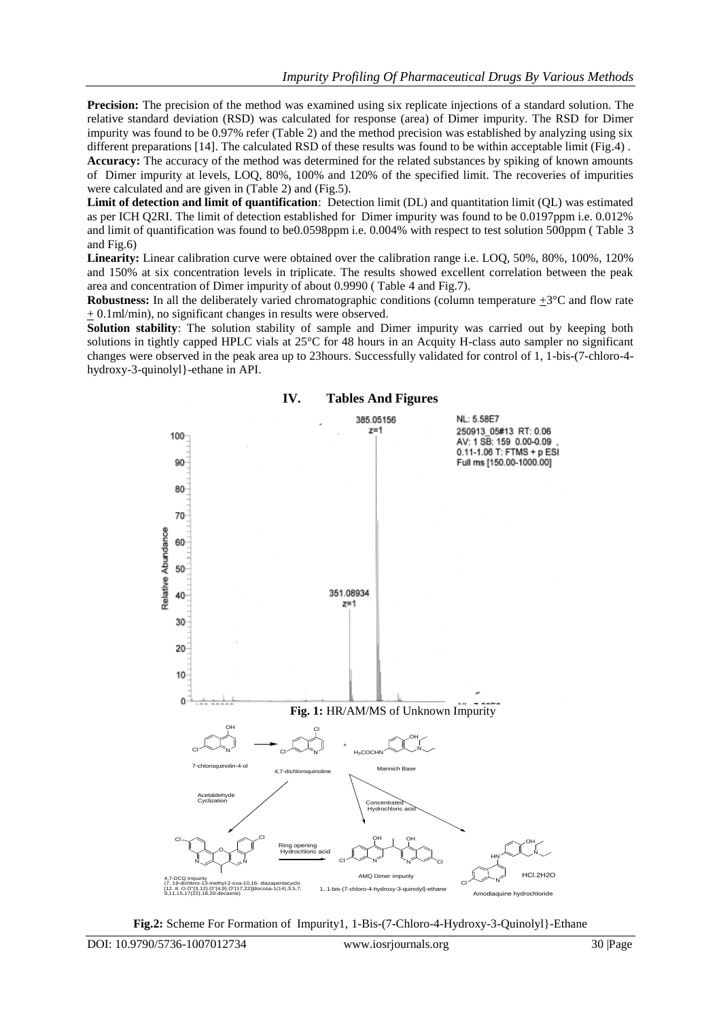**Precision:** The precision of the method was examined using six replicate injections of a standard solution. The relative standard deviation (RSD) was calculated for response (area) of Dimer impurity. The RSD for Dimer impurity was found to be 0.97% refer (Table 2) and the method precision was established by analyzing using six different preparations [14]. The calculated RSD of these results was found to be within acceptable limit (Fig.4) .

**Accuracy:** The accuracy of the method was determined for the related substances by spiking of known amounts of Dimer impurity at levels, LOQ, 80%, 100% and 120% of the specified limit. The recoveries of impurities were calculated and are given in (Table 2) and (Fig.5).

**Limit of detection and limit of quantification**: Detection limit (DL) and quantitation limit (QL) was estimated as per ICH Q2RI. The limit of detection established for Dimer impurity was found to be 0.0197ppm i.e. 0.012% and limit of quantification was found to be0.0598ppm i.e. 0.004% with respect to test solution 500ppm ( Table 3 and Fig.6)

**Linearity:** Linear calibration curve were obtained over the calibration range i.e. LOQ, 50%, 80%, 100%, 120% and 150% at six concentration levels in triplicate. The results showed excellent correlation between the peak area and concentration of Dimer impurity of about 0.9990 ( Table 4 and Fig.7).

**Robustness:** In all the deliberately varied chromatographic conditions (column temperature  $\pm 3^{\circ}$ C and flow rate + 0.1ml/min), no significant changes in results were observed.

**Solution stability**: The solution stability of sample and Dimer impurity was carried out by keeping both solutions in tightly capped HPLC vials at 25°C for 48 hours in an Acquity H-class auto sampler no significant changes were observed in the peak area up to 23hours. Successfully validated for control of 1, 1-bis-(7-chloro-4 hydroxy-3-quinolyl}-ethane in API.



**IV. Tables And Figures**

**Fig.2:** Scheme For Formation of Impurity1, 1-Bis-(7-Chloro-4-Hydroxy-3-Quinolyl}-Ethane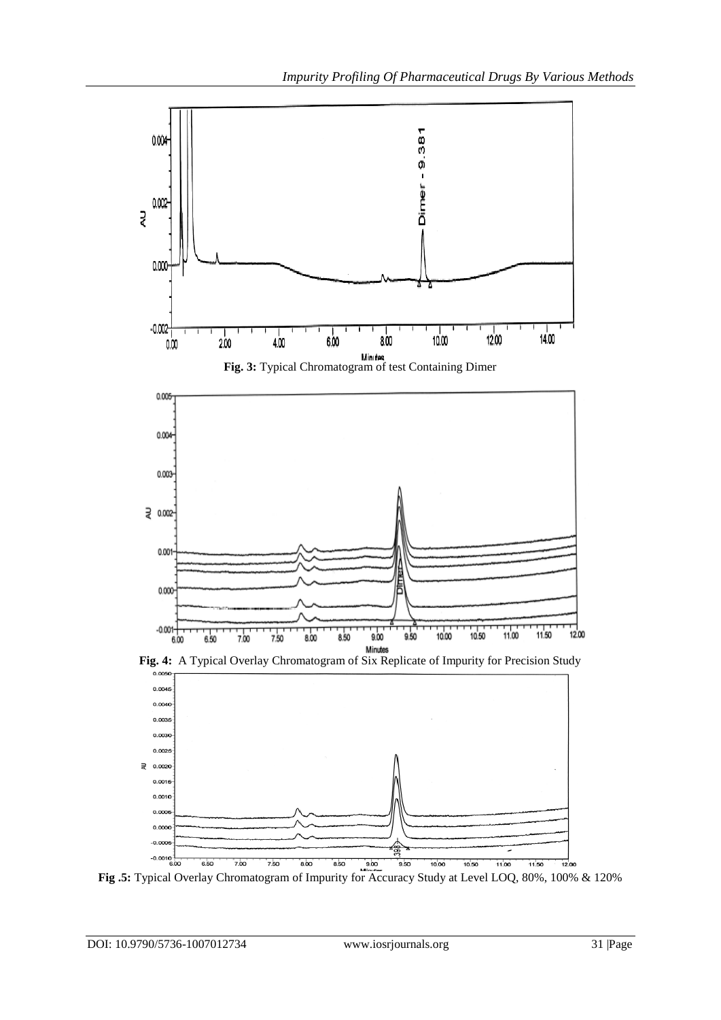

**Fig .5:** Typical Overlay Chromatogram of Impurity for Accuracy Study at Level LOQ, 80%, 100% & 120%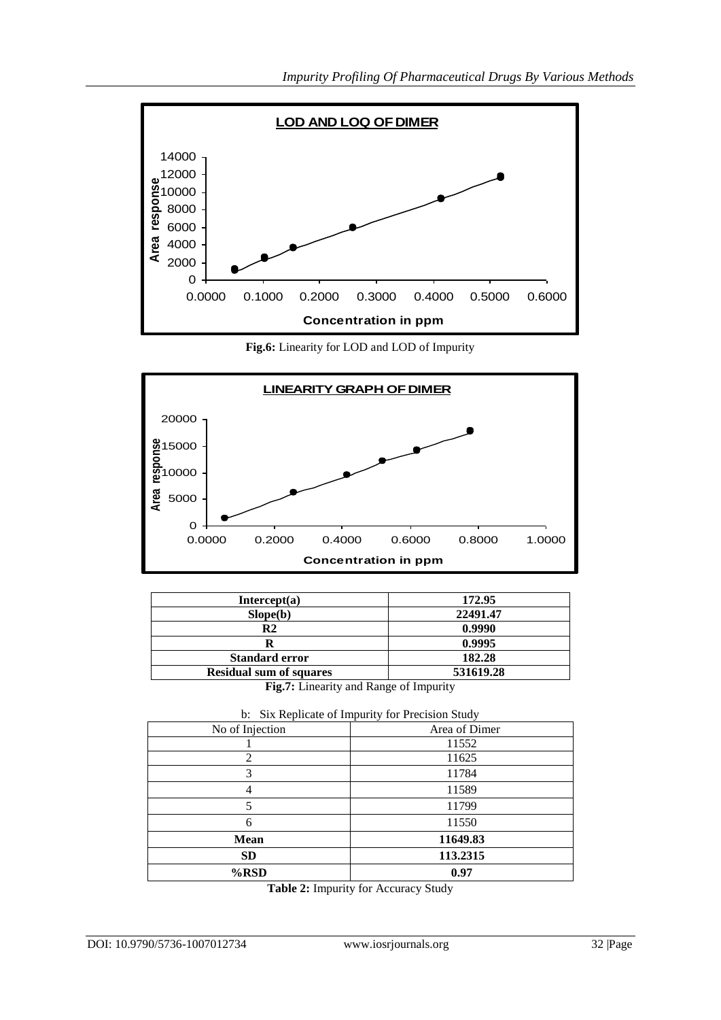

**Fig.6:** Linearity for LOD and LOD of Impurity



| Intercept $(a)$                                                                                                                                                                                                                                                                                                                    | 172.95    |
|------------------------------------------------------------------------------------------------------------------------------------------------------------------------------------------------------------------------------------------------------------------------------------------------------------------------------------|-----------|
| Slope(b)                                                                                                                                                                                                                                                                                                                           | 22491.47  |
| $\mathbf{R}2$                                                                                                                                                                                                                                                                                                                      | 0.9990    |
|                                                                                                                                                                                                                                                                                                                                    | 0.9995    |
| <b>Standard error</b>                                                                                                                                                                                                                                                                                                              | 182.28    |
| <b>Residual sum of squares</b>                                                                                                                                                                                                                                                                                                     | 531619.28 |
| $\mathbf{m}$ $\mathbf{r}$ $\mathbf{r}$ $\mathbf{r}$ $\mathbf{r}$ $\mathbf{r}$ $\mathbf{r}$ $\mathbf{r}$ $\mathbf{r}$ $\mathbf{r}$ $\mathbf{r}$ $\mathbf{r}$ $\mathbf{r}$ $\mathbf{r}$ $\mathbf{r}$ $\mathbf{r}$ $\mathbf{r}$ $\mathbf{r}$ $\mathbf{r}$ $\mathbf{r}$ $\mathbf{r}$ $\mathbf{r}$ $\mathbf{r}$ $\mathbf{r}$ $\mathbf{$ |           |

**Fig.7:** Linearity and Range of Impurity

| b: Six Replicate of Impurity for Precision Study |               |  |  |  |
|--------------------------------------------------|---------------|--|--|--|
| No of Injection                                  | Area of Dimer |  |  |  |
|                                                  | 11552         |  |  |  |
| 2                                                | 11625         |  |  |  |
| 3                                                | 11784         |  |  |  |
|                                                  | 11589         |  |  |  |
|                                                  | 11799         |  |  |  |
| 6                                                | 11550         |  |  |  |
| <b>Mean</b>                                      | 11649.83      |  |  |  |
| <b>SD</b>                                        | 113.2315      |  |  |  |
| %RSD                                             | 0.97          |  |  |  |

**Table 2:** Impurity for Accuracy Study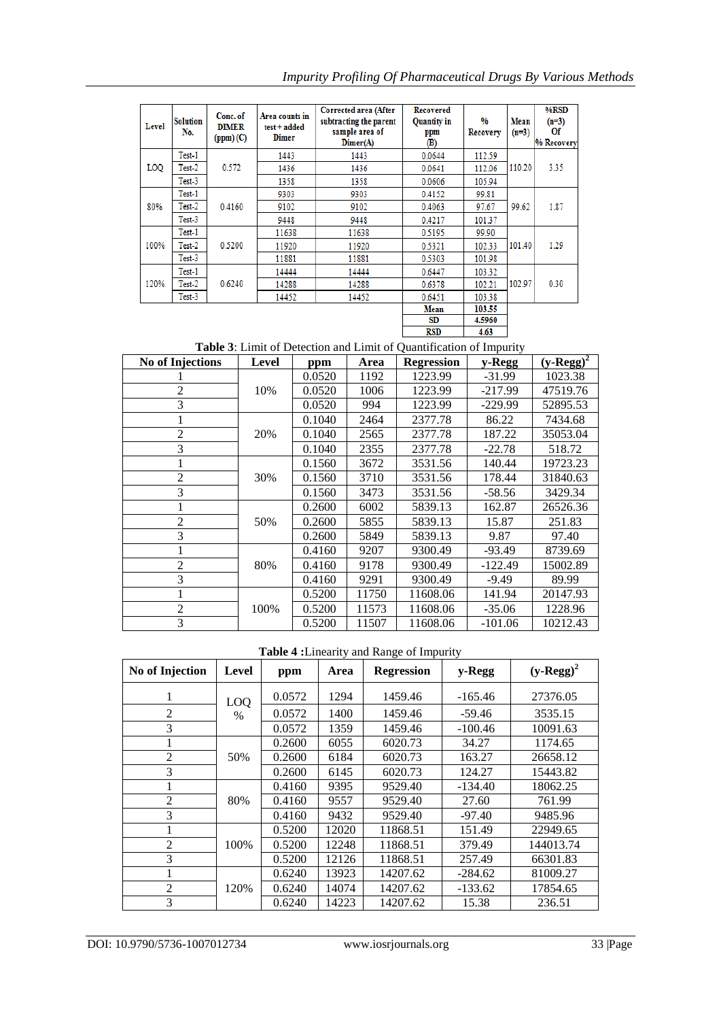# *Impurity Profiling Of Pharmaceutical Drugs By Various Methods*

| Level      | <b>Solution</b><br>No. | Conc. of<br><b>DIMER</b><br>$(ppm)$ (C) | Area counts in<br>test + added<br>Dimer | Corrected area (After<br>subtracting the parent<br>sample area of<br>Dimer(A) | <b>Recovered</b><br><b>Quantity</b> in<br>ppm<br>(B) | $\frac{0}{0}$<br>Recovery | Mean<br>$(n=3)$ | %RSD<br>$(n=3)$<br>Of<br>% Recovery |
|------------|------------------------|-----------------------------------------|-----------------------------------------|-------------------------------------------------------------------------------|------------------------------------------------------|---------------------------|-----------------|-------------------------------------|
|            | Test-1                 | 0.572                                   | 1443                                    | 1443                                                                          | 0.0644                                               | 112.59                    |                 |                                     |
| LOQ<br>80% | Test-2                 |                                         | 1436                                    | 1436                                                                          | 0.0641                                               | 112.06                    | 110.20          | 3.35                                |
|            | Test-3                 |                                         | 1358                                    | 1358                                                                          | 0.0606                                               | 105.94                    |                 |                                     |
|            | Test-1                 | 0.4160                                  | 9303                                    | 9303                                                                          | 0.4152                                               | 99.81                     | 99.62           | 1.87                                |
|            | Test-2                 |                                         | 9102                                    | 9102                                                                          | 0.4063                                               | 97.67                     |                 |                                     |
|            | Test-3                 |                                         | 9448                                    | 9448                                                                          | 0.4217                                               | 101.37                    |                 |                                     |
|            | Test-1                 |                                         | 11638                                   | 11638                                                                         | 0.5195                                               | 99.90                     | 101.40          | 1.29                                |
| 100%       | Test-2                 | 0.5200                                  | 11920                                   | 11920                                                                         | 0.5321                                               | 102.33                    |                 |                                     |
|            | Test-3                 |                                         | 11881                                   | 11881                                                                         | 0.5303                                               | 101.98                    |                 |                                     |
| 120%       | Test-1                 |                                         | 14444                                   | 14444                                                                         | 0.6447                                               | 103.32                    |                 |                                     |
|            | Test-2                 | 0.6240                                  | 14288                                   | 14288                                                                         | 0.6378                                               | 102.21                    | 102.97          | 0.30                                |
|            | Test-3                 |                                         | 14452                                   | 14452                                                                         | 0.6451                                               | 103.38                    |                 |                                     |
|            |                        |                                         |                                         |                                                                               | Mean                                                 | 103.55                    |                 |                                     |
|            |                        |                                         |                                         |                                                                               | $-$                                                  | $1 - 2 - 2 - 2$           |                 |                                     |

 $\frac{SD}{RSD}$ 4.5960  $4.63$ 

**Table 3**: Limit of Detection and Limit of Quantification of Impurity

| <b>No of Injections</b> | Level | ppm    | Area  | <b>Regression</b> | y-Regg    | $(y\text{-Regg})^2$ |
|-------------------------|-------|--------|-------|-------------------|-----------|---------------------|
|                         |       | 0.0520 | 1192  | 1223.99           | $-31.99$  | 1023.38             |
| 2                       | 10%   | 0.0520 | 1006  | 1223.99           | $-217.99$ | 47519.76            |
| 3                       |       | 0.0520 | 994   | 1223.99           | $-229.99$ | 52895.53            |
|                         |       | 0.1040 | 2464  | 2377.78           | 86.22     | 7434.68             |
| 2                       | 20%   | 0.1040 | 2565  | 2377.78           | 187.22    | 35053.04            |
| 3                       |       | 0.1040 | 2355  | 2377.78           | $-22.78$  | 518.72              |
|                         |       | 0.1560 | 3672  | 3531.56           | 140.44    | 19723.23            |
| $\overline{2}$          | 30%   | 0.1560 | 3710  | 3531.56           | 178.44    | 31840.63            |
| 3                       |       | 0.1560 | 3473  | 3531.56           | $-58.56$  | 3429.34             |
| 1                       |       | 0.2600 | 6002  | 5839.13           | 162.87    | 26526.36            |
| 2                       | 50%   | 0.2600 | 5855  | 5839.13           | 15.87     | 251.83              |
| 3                       |       | 0.2600 | 5849  | 5839.13           | 9.87      | 97.40               |
|                         |       | 0.4160 | 9207  | 9300.49           | $-93.49$  | 8739.69             |
| 2                       | 80%   | 0.4160 | 9178  | 9300.49           | $-122.49$ | 15002.89            |
| 3                       |       | 0.4160 | 9291  | 9300.49           | $-9.49$   | 89.99               |
|                         |       | 0.5200 | 11750 | 11608.06          | 141.94    | 20147.93            |
| $\overline{2}$          | 100%  | 0.5200 | 11573 | 11608.06          | $-35.06$  | 1228.96             |
| 3                       |       | 0.5200 | 11507 | 11608.06          | $-101.06$ | 10212.43            |

**Table 4 :**Linearity and Range of Impurity

| No of Injection | Level | ppm    | Area  | <b>Regression</b> | y-Regg    | $(y-Regg)^2$ |
|-----------------|-------|--------|-------|-------------------|-----------|--------------|
| 1               | LOQ   | 0.0572 | 1294  | 1459.46           | $-165.46$ | 27376.05     |
| $\overline{2}$  | $\%$  | 0.0572 | 1400  | 1459.46           | $-59.46$  | 3535.15      |
| 3               |       | 0.0572 | 1359  | 1459.46           | $-100.46$ | 10091.63     |
| I               |       | 0.2600 | 6055  | 6020.73           | 34.27     | 1174.65      |
| $\overline{2}$  | 50%   | 0.2600 | 6184  | 6020.73           | 163.27    | 26658.12     |
| 3               |       | 0.2600 | 6145  | 6020.73           | 124.27    | 15443.82     |
| 1               | 80%   | 0.4160 | 9395  | 9529.40           | $-134.40$ | 18062.25     |
| $\overline{2}$  |       | 0.4160 | 9557  | 9529.40           | 27.60     | 761.99       |
| 3               |       | 0.4160 | 9432  | 9529.40           | $-97.40$  | 9485.96      |
| 1               |       | 0.5200 | 12020 | 11868.51          | 151.49    | 22949.65     |
| $\overline{2}$  | 100%  | 0.5200 | 12248 | 11868.51          | 379.49    | 144013.74    |
| 3               |       | 0.5200 | 12126 | 11868.51          | 257.49    | 66301.83     |
| 1               |       | 0.6240 | 13923 | 14207.62          | $-284.62$ | 81009.27     |
| $\overline{c}$  | 120%  | 0.6240 | 14074 | 14207.62          | $-133.62$ | 17854.65     |
| 3               |       | 0.6240 | 14223 | 14207.62          | 15.38     | 236.51       |